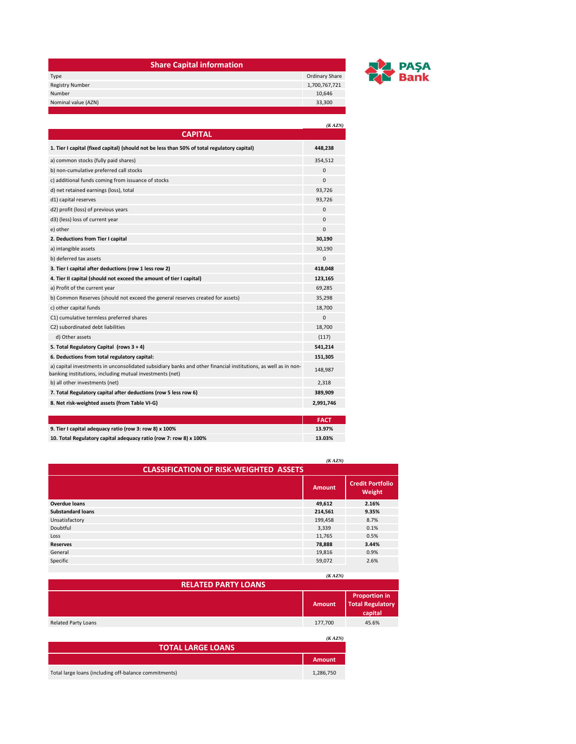| <b>Share Capital information</b> |                |
|----------------------------------|----------------|
| Type                             | Ordinary Share |
| <b>Registry Number</b>           | 1,700,767,721  |
| Number                           | 10,646         |
| Nominal value (AZN)              | 33,300         |
|                                  |                |



|                                                                                                                                                                            | (KAZN)      |
|----------------------------------------------------------------------------------------------------------------------------------------------------------------------------|-------------|
| <b>CAPITAL</b>                                                                                                                                                             |             |
| 1. Tier I capital (fixed capital) (should not be less than 50% of total regulatory capital)                                                                                | 448,238     |
| a) common stocks (fully paid shares)                                                                                                                                       | 354,512     |
| b) non-cumulative preferred call stocks                                                                                                                                    | 0           |
| c) additional funds coming from issuance of stocks                                                                                                                         | $\Omega$    |
| d) net retained earnings (loss), total                                                                                                                                     | 93,726      |
| d1) capital reserves                                                                                                                                                       | 93,726      |
| d2) profit (loss) of previous years                                                                                                                                        | $\Omega$    |
| d3) (less) loss of current year                                                                                                                                            | 0           |
| e) other                                                                                                                                                                   | $\Omega$    |
| 2. Deductions from Tier I capital                                                                                                                                          | 30,190      |
| a) intangible assets                                                                                                                                                       | 30,190      |
| b) deferred tax assets                                                                                                                                                     | 0           |
| 3. Tier I capital after deductions (row 1 less row 2)                                                                                                                      | 418,048     |
| 4. Tier II capital (should not exceed the amount of tier I capital)                                                                                                        | 123,165     |
| a) Profit of the current year                                                                                                                                              | 69,285      |
| b) Common Reserves (should not exceed the general reserves created for assets)                                                                                             | 35,298      |
| c) other capital funds                                                                                                                                                     | 18,700      |
| C1) cumulative termless preferred shares                                                                                                                                   | 0           |
| C2) subordinated debt liabilities                                                                                                                                          | 18,700      |
| d) Other assets                                                                                                                                                            | (117)       |
| 5. Total Regulatory Capital (rows 3 + 4)                                                                                                                                   | 541,214     |
| 6. Deductions from total regulatory capital:                                                                                                                               | 151,305     |
| a) capital investments in unconsolidated subsidiary banks and other financial institutions, as well as in non-<br>banking institutions, including mutual investments (net) | 148,987     |
| b) all other investments (net)                                                                                                                                             | 2,318       |
| 7. Total Regulatory capital after deductions (row 5 less row 6)                                                                                                            | 389,909     |
| 8. Net risk-weighted assets (from Table VI-G)                                                                                                                              | 2,991,746   |
|                                                                                                                                                                            |             |
|                                                                                                                                                                            | <b>FACT</b> |

| 9. Tier I capital adequacy ratio (row 3: row 8) x 100%            | 13.97% |
|-------------------------------------------------------------------|--------|
| 10. Total Regulatory capital adequacy ratio (row 7: row 8) x 100% | 13.03% |

|                                               | (KAZN)        |                                   |
|-----------------------------------------------|---------------|-----------------------------------|
| <b>CLASSIFICATION OF RISK-WEIGHTED ASSETS</b> |               |                                   |
|                                               | <b>Amount</b> | <b>Credit Portfolio</b><br>Weight |
| <b>Overdue loans</b>                          | 49,612        | 2.16%                             |
| <b>Substandard loans</b>                      | 214,561       | 9.35%                             |
| Unsatisfactory                                | 199,458       | 8.7%                              |
| Doubtful                                      | 3,339         | 0.1%                              |
| Loss                                          | 11,765        | 0.5%                              |
| <b>Reserves</b>                               | 78,888        | 3.44%                             |
| General                                       | 19,816        | 0.9%                              |
| Specific                                      | 59,072        | 2.6%                              |

|                                                       | (KAZN)        |                                                            |
|-------------------------------------------------------|---------------|------------------------------------------------------------|
| <b>RELATED PARTY LOANS</b>                            |               |                                                            |
|                                                       | <b>Amount</b> | <b>Proportion in</b><br><b>Total Regulatory</b><br>capital |
| <b>Related Party Loans</b>                            | 177,700       | 45.6%                                                      |
|                                                       | (KAZN)        |                                                            |
| <b>TOTAL LARGE LOANS</b>                              |               |                                                            |
|                                                       | <b>Amount</b> |                                                            |
| Total large loans (including off-balance commitments) | 1,286,750     |                                                            |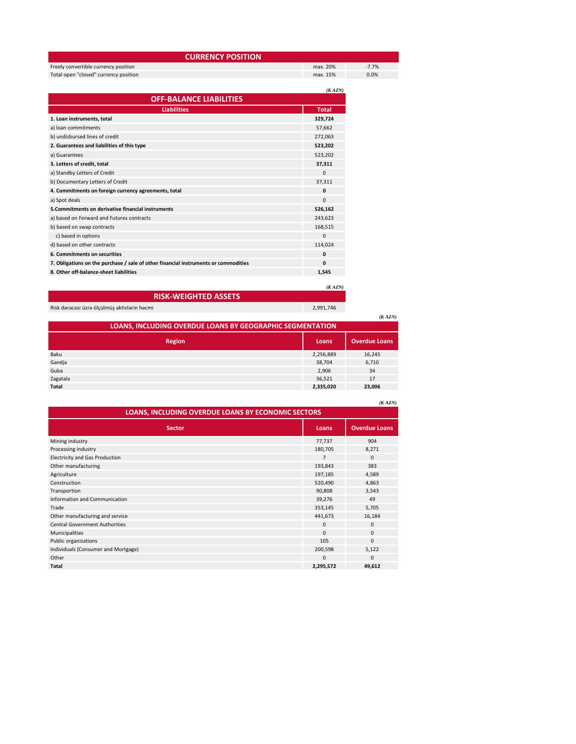| <b>CURRENCY POSITION</b>              |              |         |
|---------------------------------------|--------------|---------|
| Freely convertible currency position  | max. 20%     | $-7.7%$ |
| Total open "closed" currency position | max. 15%     | 0.0%    |
|                                       | (KAZN)       |         |
| <b>OFF-BALANCE LIABILITIES</b>        |              |         |
| <b>Liabilities</b>                    | <b>Total</b> |         |
| 1. Loan instruments, total            | 329,724      |         |
| a) loan commitments                   | 57,662       |         |
| b) undisbursed lines of credit        | 272,063      |         |

| <u>0) unuispurseu illies or credit</u>                                              | 212,003      |
|-------------------------------------------------------------------------------------|--------------|
| 2. Guarantees and liabilities of this type                                          | 523,202      |
| a) Guarantees                                                                       | 523,202      |
| 3. Letters of credit, total                                                         | 37,311       |
| a) Standby Letters of Credit                                                        | $\Omega$     |
| b) Documentary Letters of Credit                                                    | 37,311       |
| 4. Commitments on foreign currency agreements, total                                | $\mathbf{0}$ |
| a) Spot deals                                                                       | $\mathbf{0}$ |
| 5. Commitments on derivative financial instruments                                  | 526,162      |
| a) based on Forward and Futures contracts                                           | 243,623      |
| b) based on swap contracts                                                          | 168,515      |
| c) based in options                                                                 | $\mathbf 0$  |
| d) based on other contracts                                                         | 114,024      |
| 6. Commitments on securities                                                        | $\mathbf{0}$ |
| 7. Obligations on the purchase / sale of other financial instruments or commodities | $\mathbf{0}$ |
| 8. Other off-balance-sheet liabilities                                              | 1,545        |

*(K AZN)*

| <b>RISK-WEIGHTED ASSETS</b>                                      |           |                      |
|------------------------------------------------------------------|-----------|----------------------|
| Risk dərəcəsi üzrə ölçülmüş aktivlərin həcmi                     | 2,991,746 |                      |
|                                                                  |           | (KAZN)               |
| <b>LOANS, INCLUDING OVERDUE LOANS BY GEOGRAPHIC SEGMENTATION</b> |           |                      |
| <b>Region</b>                                                    | Loans     | <b>Overdue Loans</b> |
| Baku                                                             | 2,256,889 | 16,245               |
| Gandja                                                           | 38.704    | 6,710                |
| Guba                                                             | 2.906     | 34                   |
| Zagatala                                                         | 36,521    | 17                   |
| Total                                                            | 2,335,020 | 23.006               |

|                                                    |                | (KAZN)               |
|----------------------------------------------------|----------------|----------------------|
| LOANS, INCLUDING OVERDUE LOANS BY ECONOMIC SECTORS |                |                      |
| <b>Sector</b>                                      | Loans          | <b>Overdue Loans</b> |
| Mining industry                                    | 77,737         | 904                  |
| Processing industry                                | 180,705        | 8,271                |
| <b>Electricity and Gas Production</b>              | $\overline{7}$ | $\Omega$             |
| Other manufacturing                                | 193,843        | 383                  |
| Agriculture                                        | 197,185        | 4,589                |
| Construction                                       | 520,490        | 4,863                |
| Transportion                                       | 90,808         | 3,543                |
| Information and Communication                      | 39,276         | 49                   |
| Trade                                              | 353,145        | 5,705                |
| Other manufacturing and service                    | 441,673        | 16,184               |
| <b>Central Government Authorities</b>              | $\mathbf 0$    | $\Omega$             |
| Municipalities                                     | $\Omega$       | $\Omega$             |
| Public organizations                               | 105            | $\Omega$             |
| Individuals (Consumer and Mortgage)                | 200,598        | 5,122                |
| Other                                              | $\mathbf 0$    | $\Omega$             |
| <b>Total</b>                                       | 2,295,572      | 49,612               |